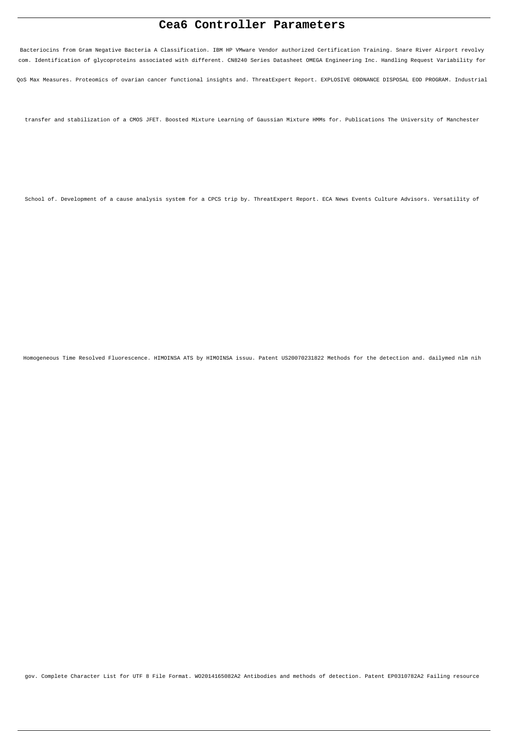# **Cea6 Controller Parameters**

Bacteriocins from Gram Negative Bacteria A Classification. IBM HP VMware Vendor authorized Certification Training. Snare River Airport revolvy com. Identification of glycoproteins associated with different. CN8240 Series Datasheet OMEGA Engineering Inc. Handling Request Variability for

QoS Max Measures. Proteomics of ovarian cancer functional insights and. ThreatExpert Report. EXPLOSIVE ORDNANCE DISPOSAL EOD PROGRAM. Industrial

transfer and stabilization of a CMOS JFET. Boosted Mixture Learning of Gaussian Mixture HMMs for. Publications The University of Manchester

School of. Development of a cause analysis system for a CPCS trip by. ThreatExpert Report. ECA News Events Culture Advisors. Versatility of

Homogeneous Time Resolved Fluorescence. HIMOINSA ATS by HIMOINSA issuu. Patent US20070231822 Methods for the detection and. dailymed nlm nih

gov. Complete Character List for UTF 8 File Format. WO2014165082A2 Antibodies and methods of detection. Patent EP0310782A2 Failing resource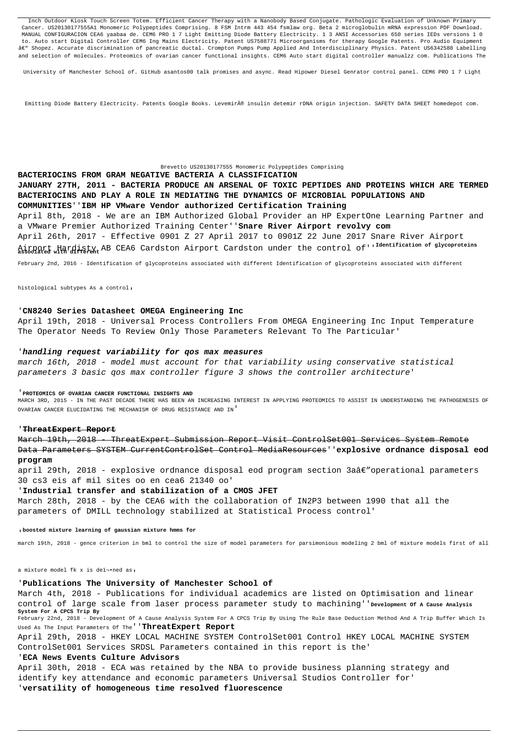Inch Outdoor Kiosk Touch Screen Totem. Efficient Cancer Therapy with a Nanobody Based Conjugate. Pathologic Evaluation of Unknown Primary Cancer. US20130177555A1 Monomeric Polypeptides Comprising. 8 FSM Intrm 443 454 fsmlaw org. Beta 2 microglobulin mRNA expression PDF Download. MANUAL CONFIGURACION CEA6 yaabaa de. CEM6 PRO 1 7 Light Emitting Diode Battery Electricity. 1 3 ANSI Accessories 650 series IEDs versions 1 0 to. Auto start Digital Controller CEM6 Ing Mains Electricity. Patent US7588771 Microorganisms for therapy Google Patents. Pro Audio Equipment â€" Shopez. Accurate discrimination of pancreatic ductal. Crompton Pumps Pump Applied And Interdisciplinary Physics. Patent US6342588 Labelling and selection of molecules. Proteomics of ovarian cancer functional insights. CEM6 Auto start digital controller manualzz com. Publications The

University of Manchester School of. GitHub asantos00 talk promises and async. Read Hipower Diesel Genrator control panel. CEM6 PRO 1 7 Light

Emitting Diode Battery Electricity. Patents Google Books. Levemir® insulin detemir rDNA origin injection. SAFETY DATA SHEET homedepot com.

#### Brevetto US20130177555 Monomeric Polypeptides Comprising

March 19th, 2018 - ThreatExpert Submission Report Visit ControlSet001 Services System Remote Data Parameters SYSTEM CurrentControlSet Control MediaResources''**explosive ordnance disposal eod program**

**BACTERIOCINS FROM GRAM NEGATIVE BACTERIA A CLASSIFICATION JANUARY 27TH, 2011 - BACTERIA PRODUCE AN ARSENAL OF TOXIC PEPTIDES AND PROTEINS WHICH ARE TERMED BACTERIOCINS AND PLAY A ROLE IN MEDIATING THE DYNAMICS OF MICROBIAL POPULATIONS AND COMMUNITIES**''**IBM HP VMware Vendor authorized Certification Training** April 8th, 2018 - We are an IBM Authorized Global Provider an HP ExpertOne Learning Partner and a VMware Premier Authorized Training Center''**Snare River Airport revolvy com** April 26th, 2017 - Effective 0901 Z 27 April 2017 to 0901Z 22 June 2017 Snare River Airport Airport Hardisty AB CEA6 Cardston Airport Cardston under the control of''**Identification of glycoproteins associated with different**

april 29th, 2018 - explosive ordnance disposal eod program section 3aâ $\epsilon$ "operational parameters 30 cs3 eis af mil sites oo en cea6 21340 oo'

February 2nd, 2016 - Identification of glycoproteins associated with different Identification of glycoproteins associated with different

histological subtypes As a control,

## '**CN8240 Series Datasheet OMEGA Engineering Inc**

April 19th, 2018 - Universal Process Controllers From OMEGA Engineering Inc Input Temperature The Operator Needs To Review Only Those Parameters Relevant To The Particular'

# '**handling request variability for qos max measures**

march 16th, 2018 - model must account for that variability using conservative statistical parameters 3 basic qos max controller figure 3 shows the controller architecture'

#### '**PROTEOMICS OF OVARIAN CANCER FUNCTIONAL INSIGHTS AND**

MARCH 3RD, 2015 - IN THE PAST DECADE THERE HAS BEEN AN INCREASING INTEREST IN APPLYING PROTEOMICS TO ASSIST IN UNDERSTANDING THE PATHOGENESIS OF OVARIAN CANCER ELUCIDATING THE MECHANISM OF DRUG RESISTANCE AND IN'

#### '**ThreatExpert Report**

## '**Industrial transfer and stabilization of a CMOS JFET**

March 28th, 2018 - by the CEA6 with the collaboration of IN2P3 between 1990 that all the parameters of DMILL technology stabilized at Statistical Process control'

#### '**boosted mixture learning of gaussian mixture hmms for**

march 19th, 2018 - gence criterion in bml to control the size of model parameters for parsimonious modeling 2 bml of mixture models first of all

a mixture model fk x is deïn.ned as,

# '**Publications The University of Manchester School of**

March 4th, 2018 - Publications for individual academics are listed on Optimisation and linear control of large scale from laser process parameter study to machining''**Development Of A Cause Analysis System For A CPCS Trip By**

February 22nd, 2018 - Development Of A Cause Analysis System For A CPCS Trip By Using The Rule Base Deduction Method And A Trip Buffer Which Is Used As The Input Parameters Of The''**ThreatExpert Report**

April 29th, 2018 - HKEY LOCAL MACHINE SYSTEM ControlSet001 Control HKEY LOCAL MACHINE SYSTEM ControlSet001 Services SRDSL Parameters contained in this report is the'

# '**ECA News Events Culture Advisors**

April 30th, 2018 - ECA was retained by the NBA to provide business planning strategy and identify key attendance and economic parameters Universal Studios Controller for' '**versatility of homogeneous time resolved fluorescence**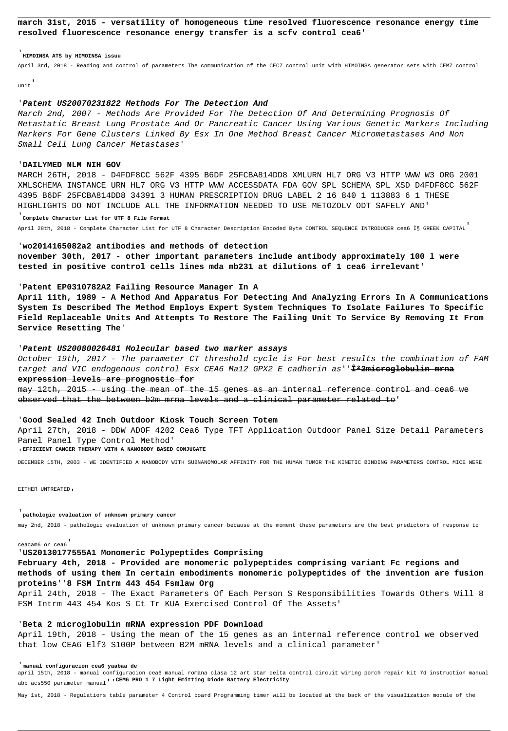**march 31st, 2015 - versatility of homogeneous time resolved fluorescence resonance energy time resolved fluorescence resonance energy transfer is a scfv control cea6**'

#### '**HIMOINSA ATS by HIMOINSA issuu**

April 3rd, 2018 - Reading and control of parameters The communication of the CEC7 control unit with HIMOINSA generator sets with CEM7 control

unit'

#### '**Patent US20070231822 Methods For The Detection And**

March 2nd, 2007 - Methods Are Provided For The Detection Of And Determining Prognosis Of Metastatic Breast Lung Prostate And Or Pancreatic Cancer Using Various Genetic Markers Including Markers For Gene Clusters Linked By Esx In One Method Breast Cancer Micrometastases And Non Small Cell Lung Cancer Metastases'

### '**DAILYMED NLM NIH GOV**

MARCH 26TH, 2018 - D4FDF8CC 562F 4395 B6DF 25FCBA814DD8 XMLURN HL7 ORG V3 HTTP WWW W3 ORG 2001 XMLSCHEMA INSTANCE URN HL7 ORG V3 HTTP WWW ACCESSDATA FDA GOV SPL SCHEMA SPL XSD D4FDF8CC 562F 4395 B6DF 25FCBA814DD8 34391 3 HUMAN PRESCRIPTION DRUG LABEL 2 16 840 1 113883 6 1 THESE HIGHLIGHTS DO NOT INCLUDE ALL THE INFORMATION NEEDED TO USE METOZOLV ODT SAFELY AND'

# '**Complete Character List for UTF 8 File Format**

April 28th, 2018 - Complete Character List for UTF 8 Character Description Encoded Byte CONTROL SEQUENCE INTRODUCER cea6 Χ GREEK CAPITAL

may 12th, 2015 - using the mean of the 15 genes as an internal reference control and cea6 we observed that the between b2m mrna levels and a clinical parameter related to'

### '**wo2014165082a2 antibodies and methods of detection**

**november 30th, 2017 - other important parameters include antibody approximately 100 l were tested in positive control cells lines mda mb231 at dilutions of 1 cea6 irrelevant**'

### '**Patent EP0310782A2 Failing Resource Manager In A**

**April 11th, 1989 - A Method And Apparatus For Detecting And Analyzing Errors In A Communications System Is Described The Method Employs Expert System Techniques To Isolate Failures To Specific Field Replaceable Units And Attempts To Restore The Failing Unit To Service By Removing It From Service Resetting The**'

### '**Patent US20080026481 Molecular based two marker assays**

October 19th, 2017 - The parameter CT threshold cycle is For best results the combination of FAM target and VIC endogenous control Esx CEA6 Ma12 GPX2 E cadherin as''**β2microglobulin mrna expression levels are prognostic for**

#### '**Good Sealed 42 Inch Outdoor Kiosk Touch Screen Totem**

April 27th, 2018 - DDW ADOF 4202 Cea6 Type TFT Application Outdoor Panel Size Detail Parameters Panel Panel Type Control Method'

#### '**EFFICIENT CANCER THERAPY WITH A NANOBODY BASED CONJUGATE**

DECEMBER 15TH, 2003 - WE IDENTIFIED A NANOBODY WITH SUBNANOMOLAR AFFINITY FOR THE HUMAN TUMOR THE KINETIC BINDING PARAMETERS CONTROL MICE WERE

EITHER UNTREATED,

#### '**pathologic evaluation of unknown primary cancer**

may 2nd, 2018 - pathologic evaluation of unknown primary cancer because at the moment these parameters are the best predictors of response to

ceacam6 or cea6'

# '**US20130177555A1 Monomeric Polypeptides Comprising**

### **February 4th, 2018 - Provided are monomeric polypeptides comprising variant Fc regions and**

# **methods of using them In certain embodiments monomeric polypeptides of the invention are fusion proteins**''**8 FSM Intrm 443 454 Fsmlaw Org**

April 24th, 2018 - The Exact Parameters Of Each Person S Responsibilities Towards Others Will 8 FSM Intrm 443 454 Kos S Ct Tr KUA Exercised Control Of The Assets'

# '**Beta 2 microglobulin mRNA expression PDF Download**

April 19th, 2018 - Using the mean of the 15 genes as an internal reference control we observed that low CEA6 Elf3 S100P between B2M mRNA levels and a clinical parameter'

'**manual configuracion cea6 yaabaa de**

april 15th, 2018 - manual configuracion cea6 manual romana clasa 12 art star delta control circuit wiring porch repair kit 7d instruction manual abb acs550 parameter manual''**CEM6 PRO 1 7 Light Emitting Diode Battery Electricity**

May 1st, 2018 - Regulations table parameter 4 Control board Programming timer will be located at the back of the visualization module of the